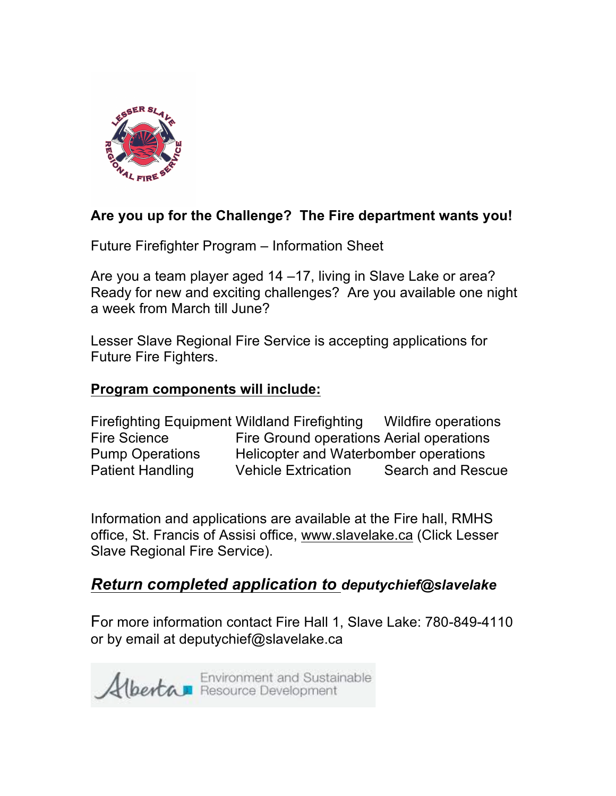

## **Are you up for the Challenge? The Fire department wants you!**

Future Firefighter Program – Information Sheet

Are you a team player aged 14 –17, living in Slave Lake or area? Ready for new and exciting challenges? Are you available one night a week from March till June?

Lesser Slave Regional Fire Service is accepting applications for Future Fire Fighters.

## **Program components will include:**

Firefighting Equipment Wildland Firefighting Wildfire operations Fire Science Fire Ground operations Aerial operations Pump Operations Helicopter and Waterbomber operations Patient Handling Vehicle Extrication Search and Rescue

Information and applications are available at the Fire hall, RMHS office, St. Francis of Assisi office, www.slavelake.ca (Click Lesser Slave Regional Fire Service).

## *Return completed application to deputychief@slavelake*

For more information contact Fire Hall 1, Slave Lake: 780-849-4110 or by email at deputychief@slavelake.ca

Environment and Sustainable<br>Albertan Resource Development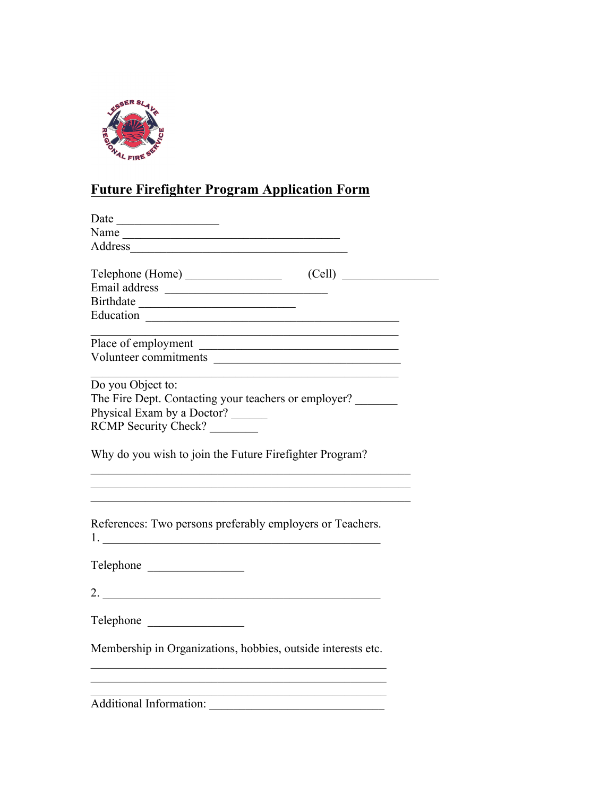

## **Future Firefighter Program Application Form**

| Address                                                      |
|--------------------------------------------------------------|
|                                                              |
| (Cell)<br>Telephone (Home)                                   |
|                                                              |
|                                                              |
|                                                              |
|                                                              |
| Volunteer commitments                                        |
|                                                              |
| Do you Object to:                                            |
| The Fire Dept. Contacting your teachers or employer?         |
| Physical Exam by a Doctor?                                   |
| RCMP Security Check?                                         |
| Why do you wish to join the Future Firefighter Program?      |
| References: Two persons preferably employers or Teachers.    |
| Telephone                                                    |
| 2. $\overline{\phantom{a}}$                                  |
| Telephone                                                    |
| Membership in Organizations, hobbies, outside interests etc. |
| <b>Additional Information:</b>                               |